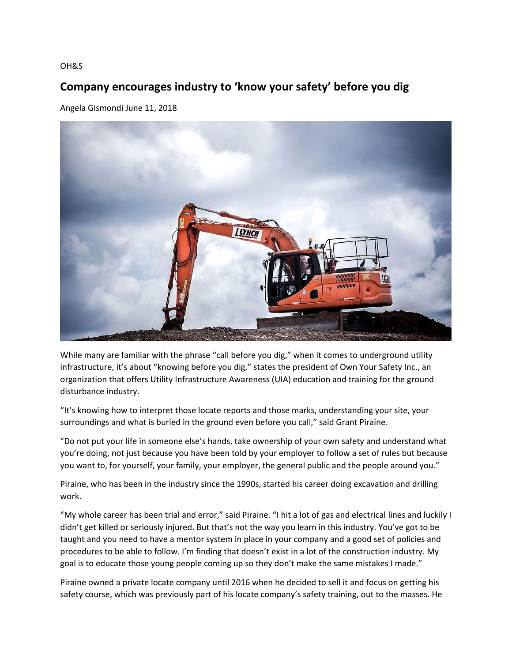## OH&S

## **Company encourages industry to 'know your safety' before you dig**

Angela Gismondi June 11, 2018



While many are familiar with the phrase "call before you dig," when it comes to underground utility infrastructure, it's about "knowing before you dig," states the president of Own Your Safety Inc., an organization that offers Utility Infrastructure Awareness (UIA) education and training for the ground disturbance industry.

"It's knowing how to interpret those locate reports and those marks, understanding your site, your surroundings and what is buried in the ground even before you call," said Grant Piraine.

"Do not put your life in someone else's hands, take ownership of your own safety and understand what you're doing, not just because you have been told by your employer to follow a set of rules but because you want to, for yourself, your family, your employer, the general public and the people around you."

Piraine, who has been in the industry since the 1990s, started his career doing excavation and drilling work.

"My whole career has been trial and error," said Piraine. "I hit a lot of gas and electrical lines and luckily I didn't get killed or seriously injured. But that's not the way you learn in this industry. You've got to be taught and you need to have a mentor system in place in your company and a good set of policies and procedures to be able to follow. I'm finding that doesn't exist in a lot of the construction industry. My goal is to educate those young people coming up so they don't make the same mistakes I made."

Piraine owned a private locate company until 2016 when he decided to sell it and focus on getting his safety course, which was previously part of his locate company's safety training, out to the masses. He